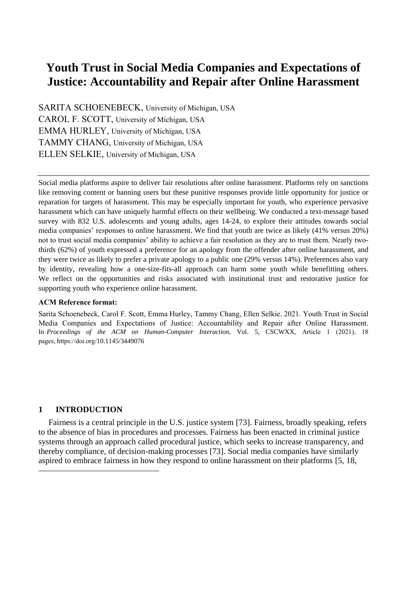# **Youth Trust in Social Media Companies and Expectations of Justice: Accountability and Repair after Online Harassment**

SARITA SCHOENEBECK, University of Michigan, USA CAROL F. SCOTT, University of Michigan, USA EMMA HURLEY, University of Michigan, USA TAMMY CHANG, University of Michigan, USA ELLEN SELKIE, University of Michigan, USA

Social media platforms aspire to deliver fair resolutions after online harassment. Platforms rely on sanctions like removing content or banning users but these punitive responses provide little opportunity for justice or reparation for targets of harassment. This may be especially important for youth, who experience pervasive harassment which can have uniquely harmful effects on their wellbeing. We conducted a text-message based survey with 832 U.S. adolescents and young adults, ages 14-24, to explore their attitudes towards social media companies' responses to online harassment. We find that youth are twice as likely (41% versus 20%) not to trust social media companies' ability to achieve a fair resolution as they are to trust them. Nearly twothirds (62%) of youth expressed a preference for an apology from the offender after online harassment, and they were twice as likely to prefer a private apology to a public one (29% versus 14%). Preferences also vary by identity, revealing how a one-size-fits-all approach can harm some youth while benefitting others. We reflect on the opportunities and risks associated with institutional trust and restorative justice for supporting youth who experience online harassment.

# **ACM Reference format:**

Sarita Schoenebeck, Carol F. Scott, Emma Hurley, Tammy Chang, Ellen Selkie. 2021. Youth Trust in Social Media Companies and Expectations of Justice: Accountability and Repair after Online Harassment. In *Proceedings of the ACM on Human-Computer Interaction,* Vol. 5, CSCWXX, Article 1 (2021), 18 pages, https://doi.org/10.1145/3449076

# **1 INTRODUCTION**

Fairness is a central principle in the U.S. justice system [73]. Fairness, broadly speaking, refers to the absence of bias in procedures and processes. Fairness has been enacted in criminal justice systems through an approach called procedural justice, which seeks to increase transparency, and thereby compliance, of decision-making processes [73]. Social media companies have similarly aspired to embrace fairness in how they respond to online harassment on their platforms [5, 18,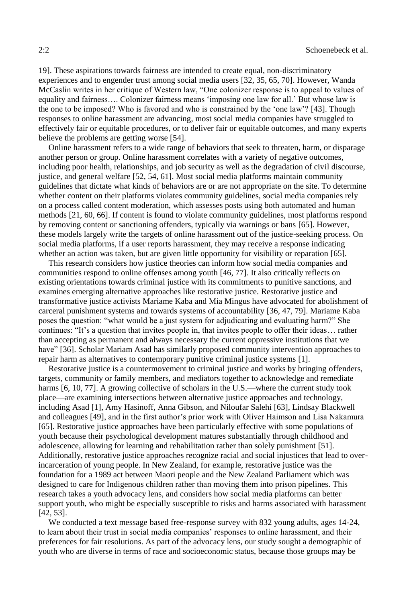19]. These aspirations towards fairness are intended to create equal, non-discriminatory experiences and to engender trust among social media users [32, 35, 65, 70]. However, Wanda McCaslin writes in her critique of Western law, "One colonizer response is to appeal to values of equality and fairness…. Colonizer fairness means 'imposing one law for all.' But whose law is the one to be imposed? Who is favored and who is constrained by the 'one law'? [43]. Though responses to online harassment are advancing, most social media companies have struggled to effectively fair or equitable procedures, or to deliver fair or equitable outcomes, and many experts believe the problems are getting worse [54].

Online harassment refers to a wide range of behaviors that seek to threaten, harm, or disparage another person or group. Online harassment correlates with a variety of negative outcomes, including poor health, relationships, and job security as well as the degradation of civil discourse, justice, and general welfare [52, 54, 61]. Most social media platforms maintain community guidelines that dictate what kinds of behaviors are or are not appropriate on the site. To determine whether content on their platforms violates community guidelines, social media companies rely on a process called content moderation, which assesses posts using both automated and human methods [21, 60, 66]. If content is found to violate community guidelines, most platforms respond by removing content or sanctioning offenders, typically via warnings or bans [65]. However, these models largely write the targets of online harassment out of the justice-seeking process. On social media platforms, if a user reports harassment, they may receive a response indicating whether an action was taken, but are given little opportunity for visibility or reparation [65].

This research considers how justice theories can inform how social media companies and communities respond to online offenses among youth [46, 77]. It also critically reflects on existing orientations towards criminal justice with its commitments to punitive sanctions, and examines emerging alternative approaches like restorative justice. Restorative justice and transformative justice activists Mariame Kaba and Mia Mingus have advocated for abolishment of carceral punishment systems and towards systems of accountability [36, 47, 79]. Mariame Kaba poses the question: "what would be a just system for adjudicating and evaluating harm?" She continues: "It's a question that invites people in, that invites people to offer their ideas… rather than accepting as permanent and always necessary the current oppressive institutions that we have" [36]. Scholar Mariam Asad has similarly proposed community intervention approaches to repair harm as alternatives to contemporary punitive criminal justice systems [1].

Restorative justice is a countermovement to criminal justice and works by bringing offenders, targets, community or family members, and mediators together to acknowledge and remediate harms [6, 10, 77]. A growing collective of scholars in the U.S.—where the current study took place—are examining intersections between alternative justice approaches and technology, including Asad [1], Amy Hasinoff, Anna Gibson, and Niloufar Salehi [63], Lindsay Blackwell and colleagues [49], and in the first author's prior work with Oliver Haimson and Lisa Nakamura [65]. Restorative justice approaches have been particularly effective with some populations of youth because their psychological development matures substantially through childhood and adolescence, allowing for learning and rehabilitation rather than solely punishment [51]. Additionally, restorative justice approaches recognize racial and social injustices that lead to overincarceration of young people. In New Zealand, for example, restorative justice was the foundation for a 1989 act between Maori people and the New Zealand Parliament which was designed to care for Indigenous children rather than moving them into prison pipelines. This research takes a youth advocacy lens, and considers how social media platforms can better support youth, who might be especially susceptible to risks and harms associated with harassment [42, 53].

We conducted a text message based free-response survey with 832 young adults, ages 14-24, to learn about their trust in social media companies' responses to online harassment, and their preferences for fair resolutions. As part of the advocacy lens, our study sought a demographic of youth who are diverse in terms of race and socioeconomic status, because those groups may be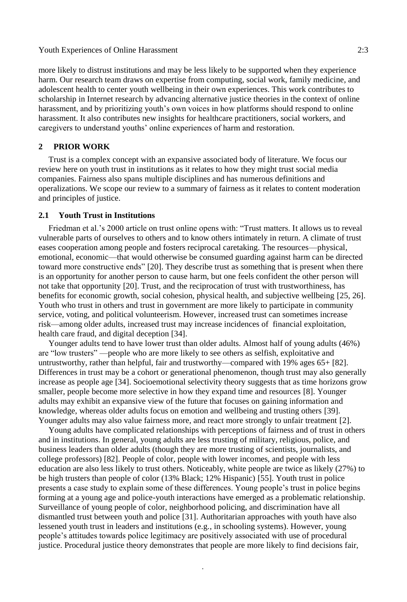#### Youth Experiences of Online Harassment 2:3

more likely to distrust institutions and may be less likely to be supported when they experience harm. Our research team draws on expertise from computing, social work, family medicine, and adolescent health to center youth wellbeing in their own experiences. This work contributes to scholarship in Internet research by advancing alternative justice theories in the context of online harassment, and by prioritizing youth's own voices in how platforms should respond to online harassment. It also contributes new insights for healthcare practitioners, social workers, and caregivers to understand youths' online experiences of harm and restoration.

# **2 PRIOR WORK**

Trust is a complex concept with an expansive associated body of literature. We focus our review here on youth trust in institutions as it relates to how they might trust social media companies. Fairness also spans multiple disciplines and has numerous definitions and operalizations. We scope our review to a summary of fairness as it relates to content moderation and principles of justice.

# **2.1 Youth Trust in Institutions**

Friedman et al.'s 2000 article on trust online opens with: "Trust matters. It allows us to reveal vulnerable parts of ourselves to others and to know others intimately in return. A climate of trust eases cooperation among people and fosters reciprocal caretaking. The resources—physical, emotional, economic—that would otherwise be consumed guarding against harm can be directed toward more constructive ends" [20]. They describe trust as something that is present when there is an opportunity for another person to cause harm, but one feels confident the other person will not take that opportunity [20]. Trust, and the reciprocation of trust with trustworthiness, has benefits for economic growth, social cohesion, physical health, and subjective wellbeing [25, 26]. Youth who trust in others and trust in government are more likely to participate in community service, voting, and political volunteerism. However, increased trust can sometimes increase risk—among older adults, increased trust may increase incidences of financial exploitation, health care fraud, and digital deception [34].

Younger adults tend to have lower trust than older adults. Almost half of young adults (46%) are "low trusters" —people who are more likely to see others as selfish, exploitative and untrustworthy, rather than helpful, fair and trustworthy—compared with 19% ages 65+ [82]. Differences in trust may be a cohort or generational phenomenon, though trust may also generally increase as people age [34]. Socioemotional selectivity theory suggests that as time horizons grow smaller, people become more selective in how they expand time and resources [8]. Younger adults may exhibit an expansive view of the future that focuses on gaining information and knowledge, whereas older adults focus on emotion and wellbeing and trusting others [39]. Younger adults may also value fairness more, and react more strongly to unfair treatment [2].

Young adults have complicated relationships with perceptions of fairness and of trust in others and in institutions. In general, young adults are less trusting of military, religious, police, and business leaders than older adults (though they are more trusting of scientists, journalists, and college professors) [82]. People of color, people with lower incomes, and people with less education are also less likely to trust others. Noticeably, white people are twice as likely (27%) to be high trusters than people of color (13% Black; 12% Hispanic) [55]. Youth trust in police presents a case study to explain some of these differences. Young people's trust in police begins forming at a young age and police-youth interactions have emerged as a problematic relationship. Surveillance of young people of color, neighborhood policing, and discrimination have all dismantled trust between youth and police [31]. Authoritarian approaches with youth have also lessened youth trust in leaders and institutions (e.g., in schooling systems). However, young people's attitudes towards police legitimacy are positively associated with use of procedural justice. Procedural justice theory demonstrates that people are more likely to find decisions fair,

.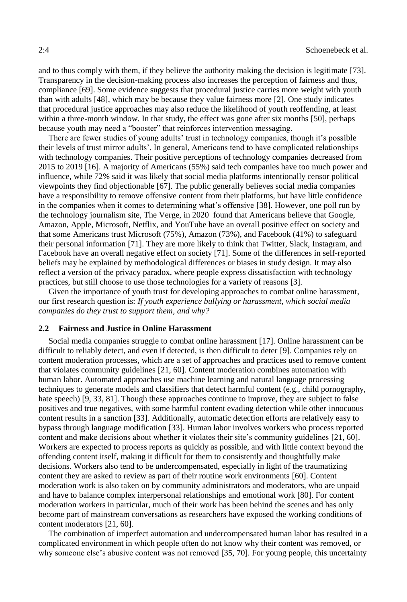and to thus comply with them, if they believe the authority making the decision is legitimate [73]. Transparency in the decision-making process also increases the perception of fairness and thus, compliance [69]. Some evidence suggests that procedural justice carries more weight with youth than with adults [48], which may be because they value fairness more [2]. One study indicates that procedural justice approaches may also reduce the likelihood of youth reoffending, at least within a three-month window. In that study, the effect was gone after six months [50], perhaps because youth may need a "booster" that reinforces intervention messaging.

There are fewer studies of young adults' trust in technology companies, though it's possible their levels of trust mirror adults'. In general, Americans tend to have complicated relationships with technology companies. Their positive perceptions of technology companies decreased from 2015 to 2019 [16]. A majority of Americans (55%) said tech companies have too much power and influence, while 72% said it was likely that social media platforms intentionally censor political viewpoints they find objectionable [67]. The public generally believes social media companies have a responsibility to remove offensive content from their platforms, but have little confidence in the companies when it comes to determining what's offensive [38]. However, one poll run by the technology journalism site, The Verge, in 2020 found that Americans believe that Google, Amazon, Apple, Microsoft, Netflix, and YouTube have an overall positive effect on society and that some Americans trust Microsoft (75%), Amazon (73%), and Facebook (41%) to safeguard their personal information [71]. They are more likely to think that Twitter, Slack, Instagram, and Facebook have an overall negative effect on society [71]. Some of the differences in self-reported beliefs may be explained by methodological differences or biases in study design. It may also reflect a version of the privacy paradox, where people express dissatisfaction with technology practices, but still choose to use those technologies for a variety of reasons [3].

Given the importance of youth trust for developing approaches to combat online harassment, our first research question is: *If youth experience bullying or harassment, which social media companies do they trust to support them, and why?*

# **2.2 Fairness and Justice in Online Harassment**

Social media companies struggle to combat online harassment [17]. Online harassment can be difficult to reliably detect, and even if detected, is then difficult to deter [9]. Companies rely on content moderation processes, which are a set of approaches and practices used to remove content that violates community guidelines [21, 60]. Content moderation combines automation with human labor. Automated approaches use machine learning and natural language processing techniques to generate models and classifiers that detect harmful content (e.g., child pornography, hate speech) [9, 33, 81]. Though these approaches continue to improve, they are subject to false positives and true negatives, with some harmful content evading detection while other innocuous content results in a sanction [33]. Additionally, automatic detection efforts are relatively easy to bypass through language modification [33]. Human labor involves workers who process reported content and make decisions about whether it violates their site's community guidelines [21, 60]. Workers are expected to process reports as quickly as possible, and with little context beyond the offending content itself, making it difficult for them to consistently and thoughtfully make decisions. Workers also tend to be undercompensated, especially in light of the traumatizing content they are asked to review as part of their routine work environments [60]. Content moderation work is also taken on by community administrators and moderators, who are unpaid and have to balance complex interpersonal relationships and emotional work [80]. For content moderation workers in particular, much of their work has been behind the scenes and has only become part of mainstream conversations as researchers have exposed the working conditions of content moderators [21, 60].

The combination of imperfect automation and undercompensated human labor has resulted in a complicated environment in which people often do not know why their content was removed, or why someone else's abusive content was not removed [35, 70]. For young people, this uncertainty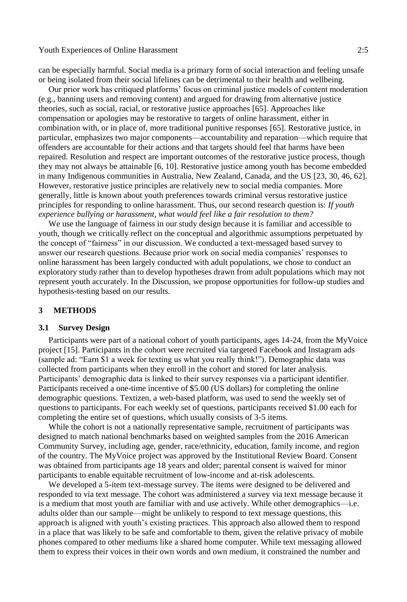can be especially harmful. Social media is a primary form of social interaction and feeling unsafe or being isolated from their social lifelines can be detrimental to their health and wellbeing.

Our prior work has critiqued platforms' focus on criminal justice models of content moderation (e.g., banning users and removing content) and argued for drawing from alternative justice theories, such as social, racial, or restorative justice approaches [65]. Approaches like compensation or apologies may be restorative to targets of online harassment, either in combination with, or in place of, more traditional punitive responses [65]. Restorative justice, in particular, emphasizes two major components—accountability and reparation—which require that offenders are accountable for their actions and that targets should feel that harms have been repaired. Resolution and respect are important outcomes of the restorative justice process, though they may not always be attainable [6, 10]. Restorative justice among youth has become embedded in many Indigenous communities in Australia, New Zealand, Canada, and the US [23, 30, 46, 62]. However, restorative justice principles are relatively new to social media companies. More generally, little is known about youth preferences towards criminal versus restorative justice principles for responding to online harassment. Thus, our second research question is: *If youth experience bullying or harassment, what would feel like a fair resolution to them?*

We use the language of fairness in our study design because it is familiar and accessible to youth, though we critically reflect on the conceptual and algorithmic assumptions perpetuated by the concept of "fairness" in our discussion. We conducted a text-messaged based survey to answer our research questions. Because prior work on social media companies' responses to online harassment has been largely conducted with adult populations, we chose to conduct an exploratory study rather than to develop hypotheses drawn from adult populations which may not represent youth accurately. In the Discussion, we propose opportunities for follow-up studies and hypothesis-testing based on our results.

# **3 METHODS**

# **3.1 Survey Design**

Participants were part of a national cohort of youth participants, ages 14-24, from the MyVoice project [15]. Participants in the cohort were recruited via targeted Facebook and Instagram ads (sample ad: "Earn \$1 a week for texting us what you really think!"). Demographic data was collected from participants when they enroll in the cohort and stored for later analysis. Participants' demographic data is linked to their survey responses via a participant identifier. Participants received a one-time incentive of \$5.00 (US dollars) for completing the online demographic questions. Textizen, a web-based platform, was used to send the weekly set of questions to participants. For each weekly set of questions, participants received \$1.00 each for completing the entire set of questions, which usually consists of 3-5 items.

While the cohort is not a nationally representative sample, recruitment of participants was designed to match national benchmarks based on weighted samples from the 2016 American Community Survey, including age, gender, race/ethnicity, education, family income, and region of the country. The MyVoice project was approved by the Institutional Review Board. Consent was obtained from participants age 18 years and older; parental consent is waived for minor participants to enable equitable recruitment of low-income and at-risk adolescents.

We developed a 5-item text-message survey. The items were designed to be delivered and responded to via text message. The cohort was administered a survey via text message because it is a medium that most youth are familiar with and use actively. While other demographics—i.e. adults older than our sample—might be unlikely to respond to text message questions, this approach is aligned with youth's existing practices. This approach also allowed them to respond in a place that was likely to be safe and comfortable to them, given the relative privacy of mobile phones compared to other mediums like a shared home computer. While text messaging allowed them to express their voices in their own words and own medium, it constrained the number and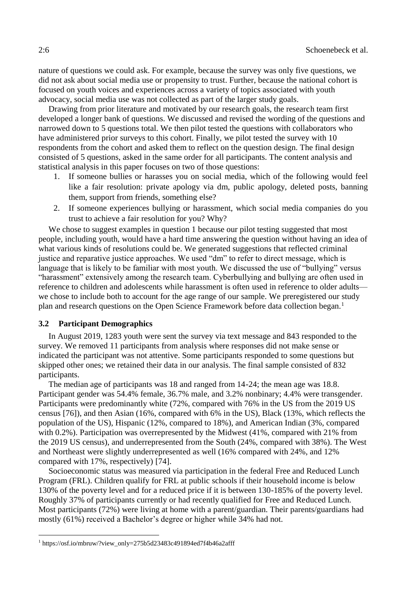nature of questions we could ask. For example, because the survey was only five questions, we did not ask about social media use or propensity to trust. Further, because the national cohort is focused on youth voices and experiences across a variety of topics associated with youth advocacy, social media use was not collected as part of the larger study goals.

Drawing from prior literature and motivated by our research goals, the research team first developed a longer bank of questions. We discussed and revised the wording of the questions and narrowed down to 5 questions total. We then pilot tested the questions with collaborators who have administered prior surveys to this cohort. Finally, we pilot tested the survey with 10 respondents from the cohort and asked them to reflect on the question design. The final design consisted of 5 questions, asked in the same order for all participants. The content analysis and statistical analysis in this paper focuses on two of those questions:

- 1. If someone bullies or harasses you on social media, which of the following would feel like a fair resolution: private apology via dm, public apology, deleted posts, banning them, support from friends, something else?
- 2. If someone experiences bullying or harassment, which social media companies do you trust to achieve a fair resolution for you? Why?

We chose to suggest examples in question 1 because our pilot testing suggested that most people, including youth, would have a hard time answering the question without having an idea of what various kinds of resolutions could be. We generated suggestions that reflected criminal justice and reparative justice approaches. We used "dm" to refer to direct message, which is language that is likely to be familiar with most youth. We discussed the use of "bullying" versus "harassment" extensively among the research team. Cyberbullying and bullying are often used in reference to children and adolescents while harassment is often used in reference to older adults we chose to include both to account for the age range of our sample. We preregistered our study plan and research questions on the Open Science Framework before data collection began.<sup>1</sup>

# **3.2 Participant Demographics**

In August 2019, 1283 youth were sent the survey via text message and 843 responded to the survey. We removed 11 participants from analysis where responses did not make sense or indicated the participant was not attentive. Some participants responded to some questions but skipped other ones; we retained their data in our analysis. The final sample consisted of 832 participants.

The median age of participants was 18 and ranged from 14-24; the mean age was 18.8. Participant gender was 54.4% female, 36.7% male, and 3.2% nonbinary; 4.4% were transgender. Participants were predominantly white (72%, compared with 76% in the US from the 2019 US census [76]), and then Asian (16%, compared with 6% in the US), Black (13%, which reflects the population of the US), Hispanic (12%, compared to 18%), and American Indian (3%, compared with 0.2%). Participation was overrepresented by the Midwest (41%, compared with 21% from the 2019 US census), and underrepresented from the South (24%, compared with 38%). The West and Northeast were slightly underrepresented as well (16% compared with 24%, and 12% compared with 17%, respectively) [74].

Socioeconomic status was measured via participation in the federal Free and Reduced Lunch Program (FRL). Children qualify for FRL at public schools if their household income is below 130% of the poverty level and for a reduced price if it is between 130-185% of the poverty level. Roughly 37% of participants currently or had recently qualified for Free and Reduced Lunch. Most participants (72%) were living at home with a parent/guardian. Their parents/guardians had mostly (61%) received a Bachelor's degree or higher while 34% had not.

<sup>1</sup> https://osf.io/mbruw/?view\_only=275b5d23483c491894ed7f4b46a2afff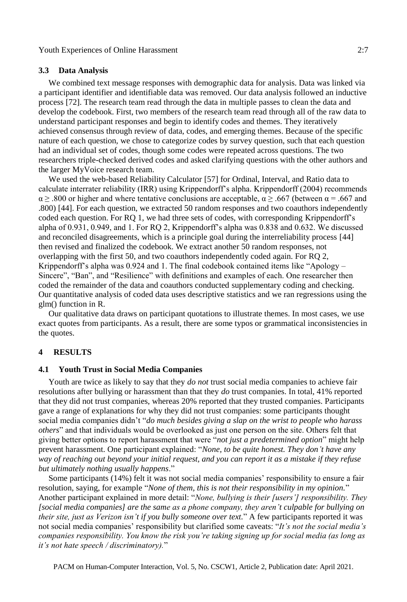#### **3.3 Data Analysis**

We combined text message responses with demographic data for analysis. Data was linked via a participant identifier and identifiable data was removed. Our data analysis followed an inductive process [72]. The research team read through the data in multiple passes to clean the data and develop the codebook. First, two members of the research team read through all of the raw data to understand participant responses and begin to identify codes and themes. They iteratively achieved consensus through review of data, codes, and emerging themes. Because of the specific nature of each question, we chose to categorize codes by survey question, such that each question had an individual set of codes, though some codes were repeated across questions. The two researchers triple-checked derived codes and asked clarifying questions with the other authors and the larger MyVoice research team.

We used the web-based Reliability Calculator [57] for Ordinal, Interval, and Ratio data to calculate interrater reliability (IRR) using Krippendorff's alpha. Krippendorff (2004) recommends  $\alpha \geq .800$  or higher and where tentative conclusions are acceptable,  $\alpha \geq .667$  (between  $\alpha = .667$  and .800) [44]. For each question, we extracted 50 random responses and two coauthors independently coded each question. For RQ 1, we had three sets of codes, with corresponding Krippendorff's alpha of 0.931, 0.949, and 1. For RQ 2, Krippendorff's alpha was 0.838 and 0.632. We discussed and reconciled disagreements, which is a principle goal during the interreliability process [44] then revised and finalized the codebook. We extract another 50 random responses, not overlapping with the first 50, and two coauthors independently coded again. For RQ 2, Krippendorff's alpha was 0.924 and 1. The final codebook contained items like "Apology – Sincere", "Ban", and "Resilience" with definitions and examples of each. One researcher then coded the remainder of the data and coauthors conducted supplementary coding and checking. Our quantitative analysis of coded data uses descriptive statistics and we ran regressions using the glm() function in R.

Our qualitative data draws on participant quotations to illustrate themes. In most cases, we use exact quotes from participants. As a result, there are some typos or grammatical inconsistencies in the quotes.

# **4 RESULTS**

#### **4.1 Youth Trust in Social Media Companies**

Youth are twice as likely to say that they *do not* trust social media companies to achieve fair resolutions after bullying or harassment than that they *do* trust companies. In total, 41% reported that they did not trust companies, whereas 20% reported that they trusted companies. Participants gave a range of explanations for why they did not trust companies: some participants thought social media companies didn't "*do much besides giving a slap on the wrist to people who harass others*" and that individuals would be overlooked as just one person on the site. Others felt that giving better options to report harassment that were "*not just a predetermined option*" might help prevent harassment. One participant explained: "*None, to be quite honest. They don't have any way of reaching out beyond your initial request, and you can report it as a mistake if they refuse but ultimately nothing usually happens*."

Some participants (14%) felt it was not social media companies' responsibility to ensure a fair resolution, saying, for example "*None of them, this is not their responsibility in my opinion.*" Another participant explained in more detail: "*None, bullying is their [users'] responsibility. They [social media companies] are the same as a phone company, they aren't culpable for bullying on their site, just as Verizon isn't if you bully someone over text.*" A few participants reported it was not social media companies' responsibility but clarified some caveats: "*It's not the social media's companies responsibility. You know the risk you're taking signing up for social media (as long as it's not hate speech / discriminatory).*"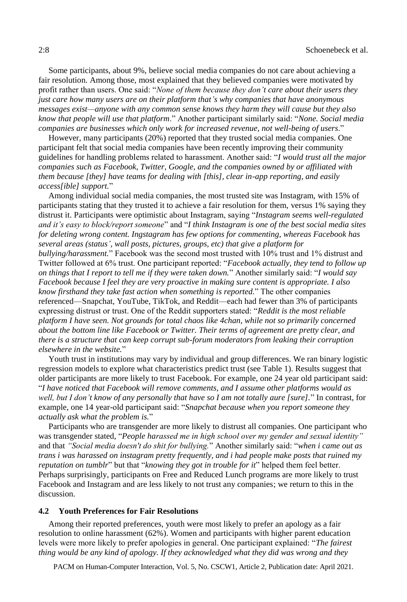Some participants, about 9%, believe social media companies do not care about achieving a fair resolution. Among those, most explained that they believed companies were motivated by profit rather than users. One said: "*None of them because they don't care about their users they just care how many users are on their platform that's why companies that have anonymous messages exist—anyone with any common sense knows they harm they will cause but they also know that people will use that platform*." Another participant similarly said: "*None. Social media companies are businesses which only work for increased revenue, not well-being of users*."

However, many participants (20%) reported that they trusted social media companies. One participant felt that social media companies have been recently improving their community guidelines for handling problems related to harassment. Another said: "*I would trust all the major companies such as Facebook, Twitter, Google, and the companies owned by or affiliated with them because [they] have teams for dealing with [this], clear in-app reporting, and easily access[ible] support.*"

Among individual social media companies, the most trusted site was Instagram, with 15% of participants stating that they trusted it to achieve a fair resolution for them, versus 1% saying they distrust it. Participants were optimistic about Instagram, saying "*Instagram seems well-regulated and it's easy to block/report someone*" and "*I think Instagram is one of the best social media sites for deleting wrong content. Ingstagram has few options for commenting, whereas Facebook has several areas (status', wall posts, pictures, groups, etc) that give a platform for bullying/harassment.*" Facebook was the second most trusted with 10% trust and 1% distrust and Twitter followed at 6% trust. One participant reported: "*Facebook actually, they tend to follow up on things that I report to tell me if they were taken down.*" Another similarly said: "*I would say Facebook because I feel they are very proactive in making sure content is appropriate. I also know firsthand they take fast action when something is reported.*" The other companies referenced—Snapchat, YouTube, TikTok, and Reddit—each had fewer than 3% of participants expressing distrust or trust. One of the Reddit supporters stated: "*Reddit is the most reliable platform I have seen. Not grounds for total chaos like 4chan, while not so primarily concerned about the bottom line like Facebook or Twitter. Their terms of agreement are pretty clear, and there is a structure that can keep corrupt sub-forum moderators from leaking their corruption elsewhere in the website.*"

Youth trust in institutions may vary by individual and group differences. We ran binary logistic regression models to explore what characteristics predict trust (see Table 1). Results suggest that older participants are more likely to trust Facebook. For example, one 24 year old participant said: "*I have noticed that Facebook will remove comments, and I assume other platforms would as well, but I don't know of any personally that have so I am not totally aure [sure].*" In contrast, for example, one 14 year-old participant said: "*Snapchat because when you report someone they actually ask what the problem is.*"

Participants who are transgender are more likely to distrust all companies. One participant who was transgender stated, "*People harassed me in high school over my gender and sexual identity"*  and that *"Social media doesn't do shit for bullying.*" Another similarly said: "*when i came out as trans i was harassed on instagram pretty frequently, and i had people make posts that ruined my reputation on tumblr*" but that "*knowing they got in trouble for it*" helped them feel better. Perhaps surprisingly, participants on Free and Reduced Lunch programs are more likely to trust Facebook and Instagram and are less likely to not trust any companies; we return to this in the discussion.

# **4.2 Youth Preferences for Fair Resolutions**

Among their reported preferences, youth were most likely to prefer an apology as a fair resolution to online harassment (62%). Women and participants with higher parent education levels were more likely to prefer apologies in general. One participant explained: "*The fairest thing would be any kind of apology. If they acknowledged what they did was wrong and they* 

PACM on Human-Computer Interaction, Vol. 5, No. CSCW1, Article 2, Publication date: April 2021.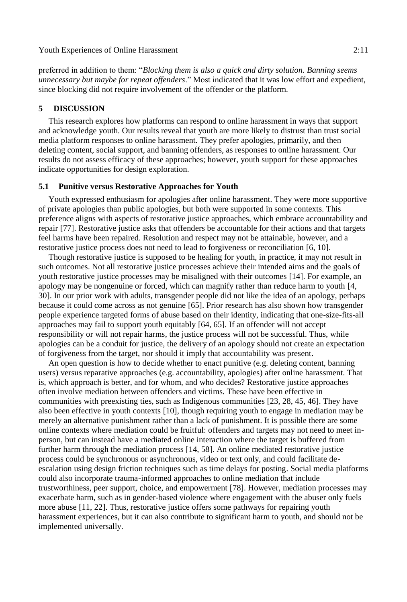preferred in addition to them: "*Blocking them is also a quick and dirty solution. Banning seems unnecessary but maybe for repeat offenders*." Most indicated that it was low effort and expedient, since blocking did not require involvement of the offender or the platform.

# **5 DISCUSSION**

This research explores how platforms can respond to online harassment in ways that support and acknowledge youth. Our results reveal that youth are more likely to distrust than trust social media platform responses to online harassment. They prefer apologies, primarily, and then deleting content, social support, and banning offenders, as responses to online harassment. Our results do not assess efficacy of these approaches; however, youth support for these approaches indicate opportunities for design exploration.

#### **5.1 Punitive versus Restorative Approaches for Youth**

Youth expressed enthusiasm for apologies after online harassment. They were more supportive of private apologies than public apologies, but both were supported in some contexts. This preference aligns with aspects of restorative justice approaches, which embrace accountability and repair [77]. Restorative justice asks that offenders be accountable for their actions and that targets feel harms have been repaired. Resolution and respect may not be attainable, however, and a restorative justice process does not need to lead to forgiveness or reconciliation [6, 10].

Though restorative justice is supposed to be healing for youth, in practice, it may not result in such outcomes. Not all restorative justice processes achieve their intended aims and the goals of youth restorative justice processes may be misaligned with their outcomes [14]. For example, an apology may be nongenuine or forced, which can magnify rather than reduce harm to youth [4, 30]. In our prior work with adults, transgender people did not like the idea of an apology, perhaps because it could come across as not genuine [65]. Prior research has also shown how transgender people experience targeted forms of abuse based on their identity, indicating that one-size-fits-all approaches may fail to support youth equitably [64, 65]. If an offender will not accept responsibility or will not repair harms, the justice process will not be successful. Thus, while apologies can be a conduit for justice, the delivery of an apology should not create an expectation of forgiveness from the target, nor should it imply that accountability was present.

An open question is how to decide whether to enact punitive (e.g. deleting content, banning users) versus reparative approaches (e.g. accountability, apologies) after online harassment. That is, which approach is better, and for whom, and who decides? Restorative justice approaches often involve mediation between offenders and victims. These have been effective in communities with preexisting ties, such as Indigenous communities [23, 28, 45, 46]. They have also been effective in youth contexts [10], though requiring youth to engage in mediation may be merely an alternative punishment rather than a lack of punishment. It is possible there are some online contexts where mediation could be fruitful: offenders and targets may not need to meet inperson, but can instead have a mediated online interaction where the target is buffered from further harm through the mediation process [14, 58]. An online mediated restorative justice process could be synchronous or asynchronous, video or text only, and could facilitate deescalation using design friction techniques such as time delays for posting. Social media platforms could also incorporate trauma-informed approaches to online mediation that include trustworthiness, peer support, choice, and empowerment [78]. However, mediation processes may exacerbate harm, such as in gender-based violence where engagement with the abuser only fuels more abuse [11, 22]. Thus, restorative justice offers some pathways for repairing youth harassment experiences, but it can also contribute to significant harm to youth, and should not be implemented universally.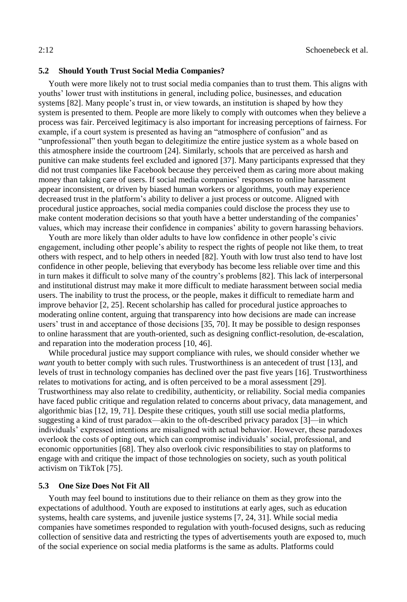# **5.2 Should Youth Trust Social Media Companies?**

Youth were more likely not to trust social media companies than to trust them. This aligns with youths' lower trust with institutions in general, including police, businesses, and education systems [82]. Many people's trust in, or view towards, an institution is shaped by how they system is presented to them. People are more likely to comply with outcomes when they believe a process was fair. Perceived legitimacy is also important for increasing perceptions of fairness. For example, if a court system is presented as having an "atmosphere of confusion" and as "unprofessional" then youth began to delegitimize the entire justice system as a whole based on this atmosphere inside the courtroom [24]. Similarly, schools that are perceived as harsh and punitive can make students feel excluded and ignored [37]. Many participants expressed that they did not trust companies like Facebook because they perceived them as caring more about making money than taking care of users. If social media companies' responses to online harassment appear inconsistent, or driven by biased human workers or algorithms, youth may experience decreased trust in the platform's ability to deliver a just process or outcome. Aligned with procedural justice approaches, social media companies could disclose the process they use to make content moderation decisions so that youth have a better understanding of the companies' values, which may increase their confidence in companies' ability to govern harassing behaviors.

Youth are more likely than older adults to have low confidence in other people's civic engagement, including other people's ability to respect the rights of people not like them, to treat others with respect, and to help others in needed [82]. Youth with low trust also tend to have lost confidence in other people, believing that everybody has become less reliable over time and this in turn makes it difficult to solve many of the country's problems [82]. This lack of interpersonal and institutional distrust may make it more difficult to mediate harassment between social media users. The inability to trust the process, or the people, makes it difficult to remediate harm and improve behavior [2, 25]. Recent scholarship has called for procedural justice approaches to moderating online content, arguing that transparency into how decisions are made can increase users' trust in and acceptance of those decisions [35, 70]. It may be possible to design responses to online harassment that are youth-oriented, such as designing conflict-resolution, de-escalation, and reparation into the moderation process [10, 46].

While procedural justice may support compliance with rules, we should consider whether we *want* youth to better comply with such rules. Trustworthiness is an antecedent of trust [13], and levels of trust in technology companies has declined over the past five years [16]. Trustworthiness relates to motivations for acting, and is often perceived to be a moral assessment [29]. Trustworthiness may also relate to credibility, authenticity, or reliability. Social media companies have faced public critique and regulation related to concerns about privacy, data management, and algorithmic bias [12, 19, 71]. Despite these critiques, youth still use social media platforms, suggesting a kind of trust paradox—akin to the oft-described privacy paradox [3]—in which individuals' expressed intentions are misaligned with actual behavior. However, these paradoxes overlook the costs of opting out, which can compromise individuals' social, professional, and economic opportunities [68]. They also overlook civic responsibilities to stay on platforms to engage with and critique the impact of those technologies on society, such as youth political activism on TikTok [75].

# **5.3 One Size Does Not Fit All**

Youth may feel bound to institutions due to their reliance on them as they grow into the expectations of adulthood. Youth are exposed to institutions at early ages, such as education systems, health care systems, and juvenile justice systems [7, 24, 31]. While social media companies have sometimes responded to regulation with youth-focused designs, such as reducing collection of sensitive data and restricting the types of advertisements youth are exposed to, much of the social experience on social media platforms is the same as adults. Platforms could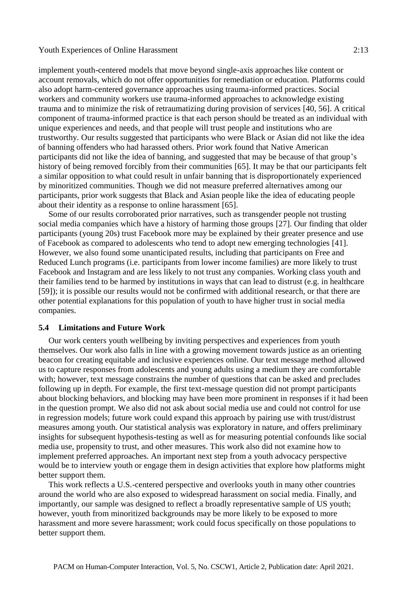#### Youth Experiences of Online Harassment 2:13

implement youth-centered models that move beyond single-axis approaches like content or account removals, which do not offer opportunities for remediation or education. Platforms could also adopt harm-centered governance approaches using trauma-informed practices. Social workers and community workers use trauma-informed approaches to acknowledge existing trauma and to minimize the risk of retraumatizing during provision of services [40, 56]. A critical component of trauma-informed practice is that each person should be treated as an individual with unique experiences and needs, and that people will trust people and institutions who are trustworthy. Our results suggested that participants who were Black or Asian did not like the idea of banning offenders who had harassed others. Prior work found that Native American participants did not like the idea of banning, and suggested that may be because of that group's history of being removed forcibly from their communities [65]. It may be that our participants felt a similar opposition to what could result in unfair banning that is disproportionately experienced by minoritized communities. Though we did not measure preferred alternatives among our participants, prior work suggests that Black and Asian people like the idea of educating people about their identity as a response to online harassment [65].

Some of our results corroborated prior narratives, such as transgender people not trusting social media companies which have a history of harming those groups [27]. Our finding that older participants (young 20s) trust Facebook more may be explained by their greater presence and use of Facebook as compared to adolescents who tend to adopt new emerging technologies [41]. However, we also found some unanticipated results, including that participants on Free and Reduced Lunch programs (i.e. participants from lower income families) are more likely to trust Facebook and Instagram and are less likely to not trust any companies. Working class youth and their families tend to be harmed by institutions in ways that can lead to distrust (e.g. in healthcare [59]); it is possible our results would not be confirmed with additional research, or that there are other potential explanations for this population of youth to have higher trust in social media companies.

# **5.4 Limitations and Future Work**

Our work centers youth wellbeing by inviting perspectives and experiences from youth themselves. Our work also falls in line with a growing movement towards justice as an orienting beacon for creating equitable and inclusive experiences online. Our text message method allowed us to capture responses from adolescents and young adults using a medium they are comfortable with; however, text message constrains the number of questions that can be asked and precludes following up in depth. For example, the first text-message question did not prompt participants about blocking behaviors, and blocking may have been more prominent in responses if it had been in the question prompt. We also did not ask about social media use and could not control for use in regression models; future work could expand this approach by pairing use with trust/distrust measures among youth. Our statistical analysis was exploratory in nature, and offers preliminary insights for subsequent hypothesis-testing as well as for measuring potential confounds like social media use, propensity to trust, and other measures. This work also did not examine how to implement preferred approaches. An important next step from a youth advocacy perspective would be to interview youth or engage them in design activities that explore how platforms might better support them.

This work reflects a U.S.-centered perspective and overlooks youth in many other countries around the world who are also exposed to widespread harassment on social media. Finally, and importantly, our sample was designed to reflect a broadly representative sample of US youth; however, youth from minoritized backgrounds may be more likely to be exposed to more harassment and more severe harassment; work could focus specifically on those populations to better support them.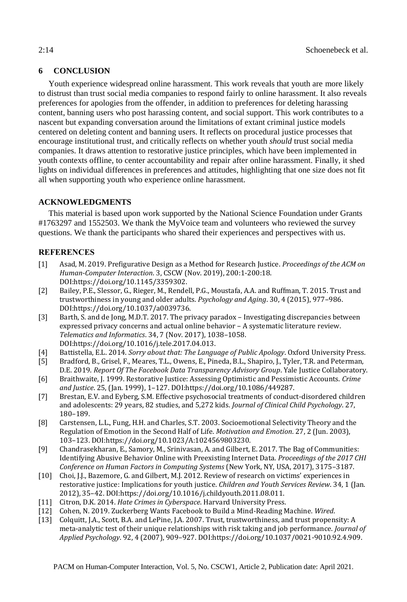# **6 CONCLUSION**

Youth experience widespread online harassment. This work reveals that youth are more likely to distrust than trust social media companies to respond fairly to online harassment. It also reveals preferences for apologies from the offender, in addition to preferences for deleting harassing content, banning users who post harassing content, and social support. This work contributes to a nascent but expanding conversation around the limitations of extant criminal justice models centered on deleting content and banning users. It reflects on procedural justice processes that encourage institutional trust, and critically reflects on whether youth *should* trust social media companies. It draws attention to restorative justice principles, which have been implemented in youth contexts offline, to center accountability and repair after online harassment. Finally, it shed lights on individual differences in preferences and attitudes, highlighting that one size does not fit all when supporting youth who experience online harassment.

# **ACKNOWLEDGMENTS**

This material is based upon work supported by the National Science Foundation under Grants #1763297 and 1552503. We thank the MyVoice team and volunteers who reviewed the survey questions. We thank the participants who shared their experiences and perspectives with us.

# **REFERENCES**

- [1] Asad, M. 2019. Prefigurative Design as a Method for Research Justice. *Proceedings of the ACM on Human-Computer Interaction*. 3, CSCW (Nov. 2019), 200:1-200:18. DOI:https://doi.org/10.1145/3359302.
- [2] Bailey, P.E., Slessor, G., Rieger, M., Rendell, P.G., Moustafa, A.A. and Ruffman, T. 2015. Trust and trustworthiness in young and older adults. *Psychology and Aging*. 30, 4 (2015), 977–986. DOI:https://doi.org/10.1037/a0039736.
- [3] Barth, S. and de Jong, M.D.T. 2017. The privacy paradox Investigating discrepancies between expressed privacy concerns and actual online behavior – A systematic literature review. *Telematics and Informatics*. 34, 7 (Nov. 2017), 1038–1058. DOI:https://doi.org/10.1016/j.tele.2017.04.013.
- [4] Battistella, E.L. 2014. *Sorry about that: The Language of Public Apology*. Oxford University Press.
- [5] Bradford, B., Grisel, F., Meares, T.L., Owens, E., Pineda, B.L., Shapiro, J., Tyler, T.R. and Peterman, D.E. 2019. *Report Of The Facebook Data Transparency Advisory Group*. Yale Justice Collaboratory.
- [6] Braithwaite, J. 1999. Restorative Justice: Assessing Optimistic and Pessimistic Accounts. *Crime and Justice*. 25, (Jan. 1999), 1–127. DOI:https://doi.org/10.1086/449287.
- [7] Brestan, E.V. and Eyberg, S.M. Effective psychosocial treatments of conduct-disordered children and adolescents: 29 years, 82 studies, and 5,272 kids. *Journal of Clinical Child Psychology*. 27, 180–189.
- [8] Carstensen, L.L., Fung, H.H. and Charles, S.T. 2003. Socioemotional Selectivity Theory and the Regulation of Emotion in the Second Half of Life. *Motivation and Emotion*. 27, 2 (Jun. 2003), 103–123. DOI:https://doi.org/10.1023/A:1024569803230.
- [9] Chandrasekharan, E., Samory, M., Srinivasan, A. and Gilbert, E. 2017. The Bag of Communities: Identifying Abusive Behavior Online with Preexisting Internet Data. *Proceedings of the 2017 CHI Conference on Human Factors in Computing Systems* (New York, NY, USA, 2017), 3175–3187.
- [10] Choi, J.J., Bazemore, G. and Gilbert, M.J. 2012. Review of research on victims' experiences in restorative justice: Implications for youth justice. *Children and Youth Services Review*. 34, 1 (Jan. 2012), 35–42. DOI:https://doi.org/10.1016/j.childyouth.2011.08.011.
- [11] Citron, D.K. 2014. *Hate Crimes in Cyberspace*. Harvard University Press.
- [12] Cohen, N. 2019. Zuckerberg Wants Facebook to Build a Mind-Reading Machine. *Wired*.
- [13] Colquitt, J.A., Scott, B.A. and LePine, J.A. 2007. Trust, trustworthiness, and trust propensity: A meta-analytic test of their unique relationships with risk taking and job performance. *Journal of Applied Psychology*. 92, 4 (2007), 909–927. DOI:https://doi.org/10.1037/0021-9010.92.4.909.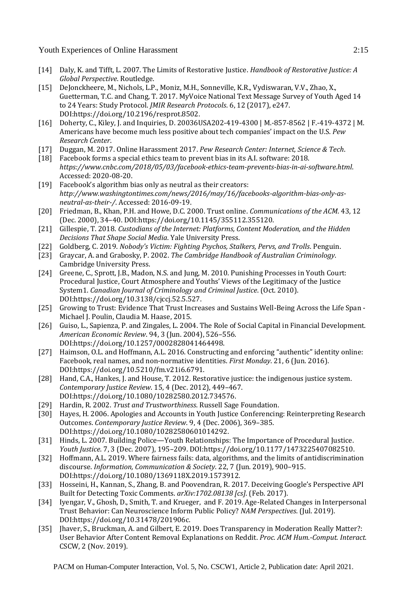Youth Experiences of Online Harassment 2:15

- [14] Daly, K. and Tifft, L. 2007. The Limits of Restorative Justice. *Handbook of Restorative Justice: A Global Perspective*. Routledge.
- [15] DeJonckheere, M., Nichols, L.P., Moniz, M.H., Sonneville, K.R., Vydiswaran, V.V., Zhao, X., Guetterman, T.C. and Chang, T. 2017. MyVoice National Text Message Survey of Youth Aged 14 to 24 Years: Study Protocol. *JMIR Research Protocols*. 6, 12 (2017), e247. DOI:https://doi.org/10.2196/resprot.8502.
- [16] Doherty, C., Kiley, J. and Inquiries, D. 20036USA202-419-4300 | M.-857-8562 | F.-419-4372 | M. Americans have become much less positive about tech companies' impact on the U.S. *Pew Research Center*.
- [17] Duggan, M. 2017. Online Harassment 2017. *Pew Research Center: Internet, Science & Tech*.
- [18] Facebook forms a special ethics team to prevent bias in its A.I. software: 2018. *https://www.cnbc.com/2018/05/03/facebook-ethics-team-prevents-bias-in-ai-software.html*. Accessed: 2020-08-20.
- [19] Facebook's algorithm bias only as neutral as their creators: *http://www.washingtontimes.com/news/2016/may/16/facebooks-algorithm-bias-only-asneutral-as-their-/*. Accessed: 2016-09-19.
- [20] Friedman, B., Khan, P.H. and Howe, D.C. 2000. Trust online. *Communications of the ACM*. 43, 12 (Dec. 2000), 34–40. DOI:https://doi.org/10.1145/355112.355120.
- [21] Gillespie, T. 2018. *Custodians of the Internet: Platforms, Content Moderation, and the Hidden Decisions That Shape Social Media*. Yale University Press.
- [22] Goldberg, C. 2019. *Nobody's Victim: Fighting Psychos, Stalkers, Pervs, and Trolls*. Penguin.
- [23] Graycar, A. and Grabosky, P. 2002. *The Cambridge Handbook of Australian Criminology*. Cambridge University Press.
- [24] Greene, C., Sprott, J.B., Madon, N.S. and Jung, M. 2010. Punishing Processes in Youth Court: Procedural Justice, Court Atmosphere and Youths' Views of the Legitimacy of the Justice System1. *Canadian Journal of Criminology and Criminal Justice*. (Oct. 2010). DOI:https://doi.org/10.3138/cjccj.52.5.527.
- [25] Growing to Trust: Evidence That Trust Increases and Sustains Well-Being Across the Life Span Michael J. Poulin, Claudia M. Haase, 2015.
- [26] Guiso, L., Sapienza, P. and Zingales, L. 2004. The Role of Social Capital in Financial Development. *American Economic Review*. 94, 3 (Jun. 2004), 526–556. DOI:https://doi.org/10.1257/0002828041464498.
- [27] Haimson, O.L. and Hoffmann, A.L. 2016. Constructing and enforcing "authentic" identity online: Facebook, real names, and non-normative identities. *First Monday*. 21, 6 (Jun. 2016). DOI:https://doi.org/10.5210/fm.v21i6.6791.
- [28] Hand, C.A., Hankes, J. and House, T. 2012. Restorative justice: the indigenous justice system. *Contemporary Justice Review*. 15, 4 (Dec. 2012), 449–467. DOI:https://doi.org/10.1080/10282580.2012.734576.
- [29] Hardin, R. 2002. *Trust and Trustworthiness*. Russell Sage Foundation.
- [30] Hayes, H. 2006. Apologies and Accounts in Youth Justice Conferencing: Reinterpreting Research Outcomes. *Contemporary Justice Review*. 9, 4 (Dec. 2006), 369–385. DOI:https://doi.org/10.1080/10282580601014292.
- [31] Hinds, L. 2007. Building Police—Youth Relationships: The Importance of Procedural Justice. *Youth Justice*. 7, 3 (Dec. 2007), 195–209. DOI:https://doi.org/10.1177/1473225407082510.
- [32] Hoffmann, A.L. 2019. Where fairness fails: data, algorithms, and the limits of antidiscrimination discourse. *Information, Communication & Society*. 22, 7 (Jun. 2019), 900–915. DOI:https://doi.org/10.1080/1369118X.2019.1573912.
- [33] Hosseini, H., Kannan, S., Zhang, B. and Poovendran, R. 2017. Deceiving Google's Perspective API Built for Detecting Toxic Comments. *arXiv:1702.08138 [cs]*. (Feb. 2017).
- [34] Iyengar, V., Ghosh, D., Smith, T. and Krueger, and F. 2019. Age-Related Changes in Interpersonal Trust Behavior: Can Neuroscience Inform Public Policy? *NAM Perspectives*. (Jul. 2019). DOI:https://doi.org/10.31478/201906c.
- [35] Jhaver, S., Bruckman, A. and Gilbert, E. 2019. Does Transparency in Moderation Really Matter?: User Behavior After Content Removal Explanations on Reddit. *Proc. ACM Hum.-Comput. Interact.* CSCW, 2 (Nov. 2019).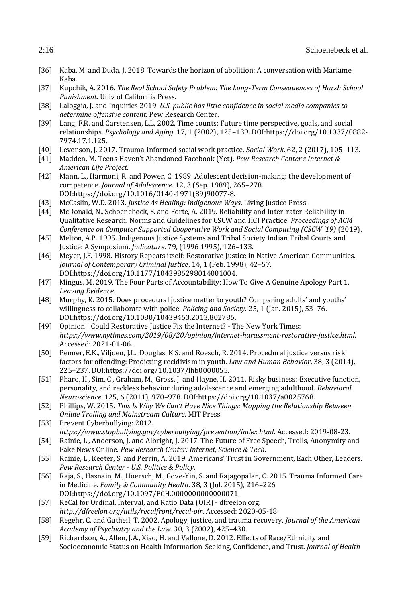- [36] Kaba, M. and Duda, J. 2018. Towards the horizon of abolition: A conversation with Mariame Kaba.
- [37] Kupchik, A. 2016. *The Real School Safety Problem: The Long-Term Consequences of Harsh School Punishment*. Univ of California Press.
- [38] Laloggia, J. and Inquiries 2019. *U.S. public has little confidence in social media companies to determine offensive content*. Pew Research Center.
- [39] Lang, F.R. and Carstensen, L.L. 2002. Time counts: Future time perspective, goals, and social relationships. *Psychology and Aging*. 17, 1 (2002), 125–139. DOI:https://doi.org/10.1037/0882- 7974.17.1.125.
- [40] Levenson, J. 2017. Trauma-informed social work practice. *Social Work*. 62, 2 (2017), 105–113.
- [41] Madden, M. Teens Haven't Abandoned Facebook (Yet). *Pew Research Center's Internet & American Life Project*.
- [42] Mann, L., Harmoni, R. and Power, C. 1989. Adolescent decision-making: the development of competence. *Journal of Adolescence*. 12, 3 (Sep. 1989), 265–278. DOI:https://doi.org/10.1016/0140-1971(89)90077-8.
- [43] McCaslin, W.D. 2013. *Justice As Healing: Indigenous Ways*. Living Justice Press.
- [44] McDonald, N., Schoenebeck, S. and Forte, A. 2019. Reliability and Inter-rater Reliability in Qualitative Research: Norms and Guidelines for CSCW and HCI Practice. *Proceedings of ACM Conference on Computer Supported Cooperative Work and Social Computing (CSCW '19)* (2019).
- [45] Melton, A.P. 1995. Indigenous Justice Systems and Tribal Society Indian Tribal Courts and Justice: A Symposium. *Judicature*. 79, (1996 1995), 126–133.
- [46] Meyer, J.F. 1998. History Repeats itself: Restorative Justice in Native American Communities. *Journal of Contemporary Criminal Justice*. 14, 1 (Feb. 1998), 42–57. DOI:https://doi.org/10.1177/1043986298014001004.
- [47] Mingus, M. 2019. The Four Parts of Accountability: How To Give A Genuine Apology Part 1. *Leaving Evidence*.
- [48] Murphy, K. 2015. Does procedural justice matter to youth? Comparing adults' and youths' willingness to collaborate with police. *Policing and Society*. 25, 1 (Jan. 2015), 53–76. DOI:https://doi.org/10.1080/10439463.2013.802786.
- [49] Opinion | Could Restorative Justice Fix the Internet? The New York Times: *https://www.nytimes.com/2019/08/20/opinion/internet-harassment-restorative-justice.html*. Accessed: 2021-01-06.
- [50] Penner, E.K., Viljoen, J.L., Douglas, K.S. and Roesch, R. 2014. Procedural justice versus risk factors for offending: Predicting recidivism in youth. *Law and Human Behavior*. 38, 3 (2014), 225–237. DOI:https://doi.org/10.1037/lhb0000055.
- [51] Pharo, H., Sim, C., Graham, M., Gross, J. and Hayne, H. 2011. Risky business: Executive function, personality, and reckless behavior during adolescence and emerging adulthood. *Behavioral Neuroscience*. 125, 6 (2011), 970–978. DOI:https://doi.org/10.1037/a0025768.
- [52] Phillips, W. 2015. *This Is Why We Can't Have Nice Things: Mapping the Relationship Between Online Trolling and Mainstream Culture*. MIT Press.
- [53] Prevent Cyberbullying: 2012. *https://www.stopbullying.gov/cyberbullying/prevention/index.html*. Accessed: 2019-08-23.
- [54] Rainie, L., Anderson, J. and Albright, J. 2017. The Future of Free Speech, Trolls, Anonymity and Fake News Online. *Pew Research Center: Internet, Science & Tech*.
- [55] Rainie, L., Keeter, S. and Perrin, A. 2019. Americans' Trust in Government, Each Other, Leaders. *Pew Research Center - U.S. Politics & Policy*.
- [56] Raja, S., Hasnain, M., Hoersch, M., Gove-Yin, S. and Rajagopalan, C. 2015. Trauma Informed Care in Medicine. *Family & Community Health*. 38, 3 (Jul. 2015), 216–226. DOI:https://doi.org/10.1097/FCH.0000000000000071.
- [57] ReCal for Ordinal, Interval, and Ratio Data (OIR) dfreelon.org: *http://dfreelon.org/utils/recalfront/recal-oir*. Accessed: 2020-05-18.
- [58] Regehr, C. and Gutheil, T. 2002. Apology, justice, and trauma recovery. *Journal of the American Academy of Psychiatry and the Law*. 30, 3 (2002), 425–430.
- [59] Richardson, A., Allen, J.A., Xiao, H. and Vallone, D. 2012. Effects of Race/Ethnicity and Socioeconomic Status on Health Information-Seeking, Confidence, and Trust. *Journal of Health*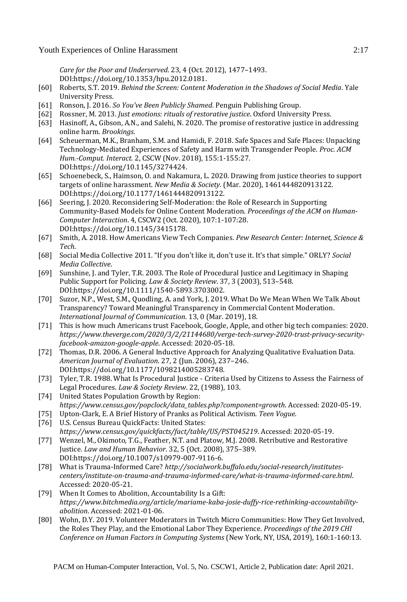*Care for the Poor and Underserved*. 23, 4 (Oct. 2012), 1477–1493. DOI:https://doi.org/10.1353/hpu.2012.0181.

- [60] Roberts, S.T. 2019. *Behind the Screen: Content Moderation in the Shadows of Social Media*. Yale University Press.
- [61] Ronson, J. 2016. *So You've Been Publicly Shamed*. Penguin Publishing Group.
- [62] Rossner, M. 2013. *Just emotions: rituals of restorative justice*. Oxford University Press.
- [63] Hasinoff, A., Gibson, A.N., and Salehi, N. 2020. The promise of restorative justice in addressing online harm. *Brookings*.
- [64] Scheuerman, M.K., Branham, S.M. and Hamidi, F. 2018. Safe Spaces and Safe Places: Unpacking Technology-Mediated Experiences of Safety and Harm with Transgender People. *Proc. ACM Hum.-Comput. Interact.* 2, CSCW (Nov. 2018), 155:1-155:27. DOI:https://doi.org/10.1145/3274424.
- [65] Schoenebeck, S., Haimson, O. and Nakamura, L. 2020. Drawing from justice theories to support targets of online harassment. *New Media & Society*. (Mar. 2020), 1461444820913122. DOI:https://doi.org/10.1177/1461444820913122.
- [66] Seering, J. 2020. Reconsidering Self-Moderation: the Role of Research in Supporting Community-Based Models for Online Content Moderation. *Proceedings of the ACM on Human-Computer Interaction*. 4, CSCW2 (Oct. 2020), 107:1-107:28. DOI:https://doi.org/10.1145/3415178.
- [67] Smith, A. 2018. How Americans View Tech Companies. *Pew Research Center: Internet, Science & Tech*.
- [68] Social Media Collective 2011. "If you don't like it, don't use it. It's that simple." ORLY? *Social Media Collective*.
- [69] Sunshine, J. and Tyler, T.R. 2003. The Role of Procedural Justice and Legitimacy in Shaping Public Support for Policing. *Law & Society Review*. 37, 3 (2003), 513–548. DOI:https://doi.org/10.1111/1540-5893.3703002.
- [70] Suzor, N.P., West, S.M., Quodling, A. and York, J. 2019. What Do We Mean When We Talk About Transparency? Toward Meaningful Transparency in Commercial Content Moderation. *International Journal of Communication*. 13, 0 (Mar. 2019), 18.
- [71] This is how much Americans trust Facebook, Google, Apple, and other big tech companies: 2020. *https://www.theverge.com/2020/3/2/21144680/verge-tech-survey-2020-trust-privacy-securityfacebook-amazon-google-apple*. Accessed: 2020-05-18.
- [72] Thomas, D.R. 2006. A General Inductive Approach for Analyzing Qualitative Evaluation Data. *American Journal of Evaluation*. 27, 2 (Jun. 2006), 237–246. DOI:https://doi.org/10.1177/1098214005283748.
- [73] Tyler, T.R. 1988. What Is Procedural Justice Criteria Used by Citizens to Assess the Fairness of Legal Procedures. *Law & Society Review*. 22, (1988), 103.
- [74] United States Population Growth by Region: *https://www.census.gov/popclock/data\_tables.php?component=growth*. Accessed: 2020-05-19.
- [75] Upton-Clark, E. A Brief History of Pranks as Political Activism. *Teen Vogue*.
- [76] U.S. Census Bureau QuickFacts: United States: *https://www.census.gov/quickfacts/fact/table/US/PST045219*. Accessed: 2020-05-19.
- [77] Wenzel, M., Okimoto, T.G., Feather, N.T. and Platow, M.J. 2008. Retributive and Restorative Justice. *Law and Human Behavior*. 32, 5 (Oct. 2008), 375–389. DOI:https://doi.org/10.1007/s10979-007-9116-6.
- [78] What is Trauma-Informed Care? *http://socialwork.buffalo.edu/social-research/institutescenters/institute-on-trauma-and-trauma-informed-care/what-is-trauma-informed-care.html*. Accessed: 2020-05-21.
- [79] When It Comes to Abolition, Accountability Is a Gift: *https://www.bitchmedia.org/article/mariame-kaba-josie-duffy-rice-rethinking-accountabilityabolition*. Accessed: 2021-01-06.
- [80] Wohn, D.Y. 2019. Volunteer Moderators in Twitch Micro Communities: How They Get Involved, the Roles They Play, and the Emotional Labor They Experience. *Proceedings of the 2019 CHI Conference on Human Factors in Computing Systems* (New York, NY, USA, 2019), 160:1-160:13.